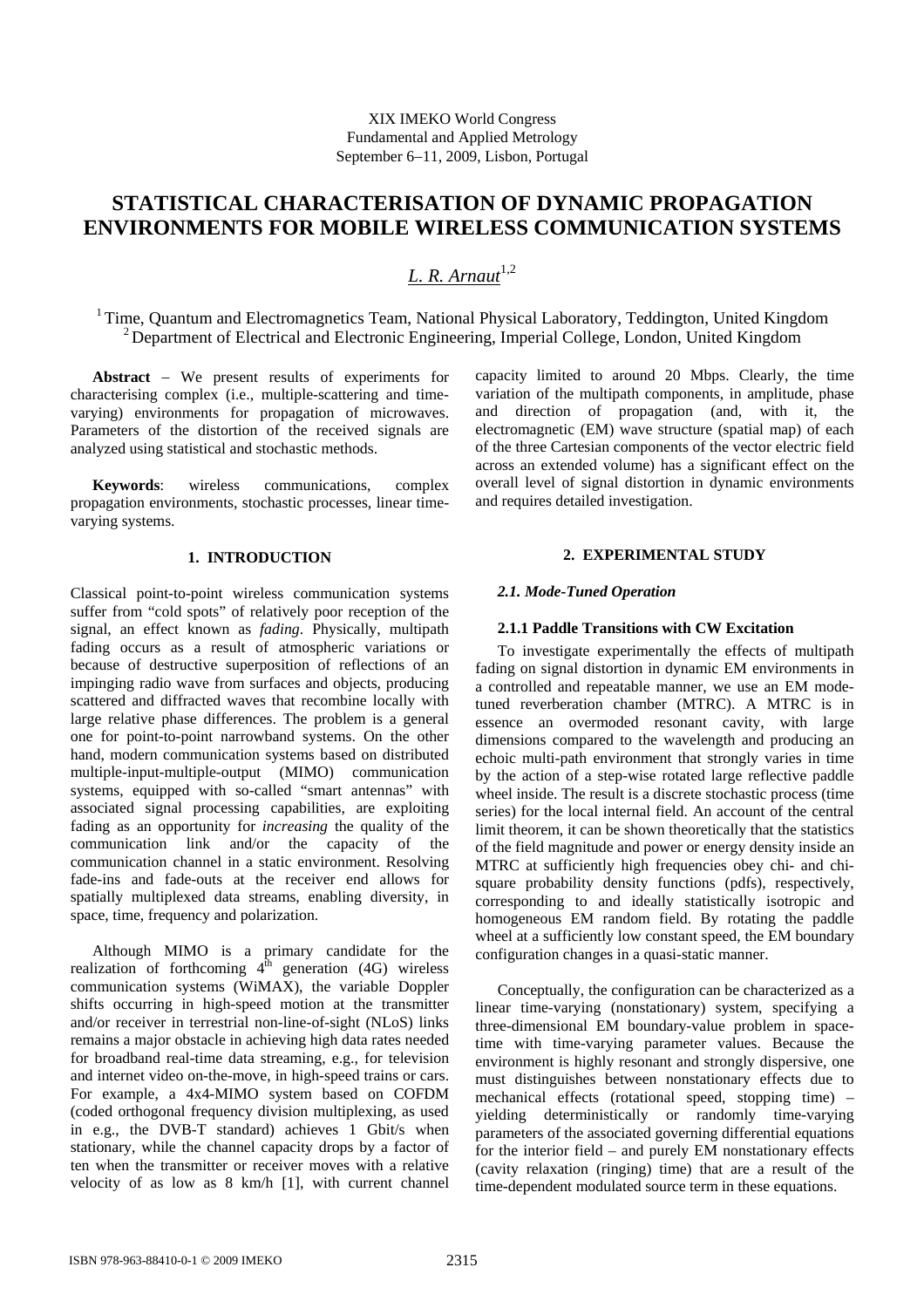# **STATISTICAL CHARACTERISATION OF DYNAMIC PROPAGATION ENVIRONMENTS FOR MOBILE WIRELESS COMMUNICATION SYSTEMS**

# $L$ . R. Arnaut<sup>1,2</sup>

<sup>1</sup> Time, Ouantum and Electromagnetics Team, National Physical Laboratory, Teddington, United Kingdom <sup>2</sup> Department of Electrical and Electronic Engineering, Imperial College, London, United Kingdom

**Abstract** − We present results of experiments for characterising complex (i.e., multiple-scattering and timevarying) environments for propagation of microwaves. Parameters of the distortion of the received signals are analyzed using statistical and stochastic methods.

**Keywords**: wireless communications, complex propagation environments, stochastic processes, linear timevarying systems.

## **1. INTRODUCTION**

Classical point-to-point wireless communication systems suffer from "cold spots" of relatively poor reception of the signal, an effect known as *fading*. Physically, multipath fading occurs as a result of atmospheric variations or because of destructive superposition of reflections of an impinging radio wave from surfaces and objects, producing scattered and diffracted waves that recombine locally with large relative phase differences. The problem is a general one for point-to-point narrowband systems. On the other hand, modern communication systems based on distributed multiple-input-multiple-output (MIMO) communication systems, equipped with so-called "smart antennas" with associated signal processing capabilities, are exploiting fading as an opportunity for *increasing* the quality of the communication link and/or the capacity of the communication channel in a static environment. Resolving fade-ins and fade-outs at the receiver end allows for spatially multiplexed data streams, enabling diversity, in space, time, frequency and polarization.

Although MIMO is a primary candidate for the realization of forthcoming  $4<sup>th</sup>$  generation (4G) wireless communication systems (WiMAX), the variable Doppler shifts occurring in high-speed motion at the transmitter and/or receiver in terrestrial non-line-of-sight (NLoS) links remains a major obstacle in achieving high data rates needed for broadband real-time data streaming, e.g., for television and internet video on-the-move, in high-speed trains or cars. For example, a 4x4-MIMO system based on COFDM (coded orthogonal frequency division multiplexing, as used in e.g., the DVB-T standard) achieves 1 Gbit/s when stationary, while the channel capacity drops by a factor of ten when the transmitter or receiver moves with a relative velocity of as low as 8 km/h [1], with current channel

capacity limited to around 20 Mbps. Clearly, the time variation of the multipath components, in amplitude, phase and direction of propagation (and, with it, the electromagnetic (EM) wave structure (spatial map) of each of the three Cartesian components of the vector electric field across an extended volume) has a significant effect on the overall level of signal distortion in dynamic environments and requires detailed investigation.

# **2. EXPERIMENTAL STUDY**

# *2.1. Mode-Tuned Operation*

# **2.1.1 Paddle Transitions with CW Excitation**

To investigate experimentally the effects of multipath fading on signal distortion in dynamic EM environments in a controlled and repeatable manner, we use an EM modetuned reverberation chamber (MTRC). A MTRC is in essence an overmoded resonant cavity, with large dimensions compared to the wavelength and producing an echoic multi-path environment that strongly varies in time by the action of a step-wise rotated large reflective paddle wheel inside. The result is a discrete stochastic process (time series) for the local internal field. An account of the central limit theorem, it can be shown theoretically that the statistics of the field magnitude and power or energy density inside an MTRC at sufficiently high frequencies obey chi- and chisquare probability density functions (pdfs), respectively, corresponding to and ideally statistically isotropic and homogeneous EM random field. By rotating the paddle wheel at a sufficiently low constant speed, the EM boundary configuration changes in a quasi-static manner.

Conceptually, the configuration can be characterized as a linear time-varying (nonstationary) system, specifying a three-dimensional EM boundary-value problem in spacetime with time-varying parameter values. Because the environment is highly resonant and strongly dispersive, one must distinguishes between nonstationary effects due to mechanical effects (rotational speed, stopping time) – yielding deterministically or randomly time-varying parameters of the associated governing differential equations for the interior field – and purely EM nonstationary effects (cavity relaxation (ringing) time) that are a result of the time-dependent modulated source term in these equations.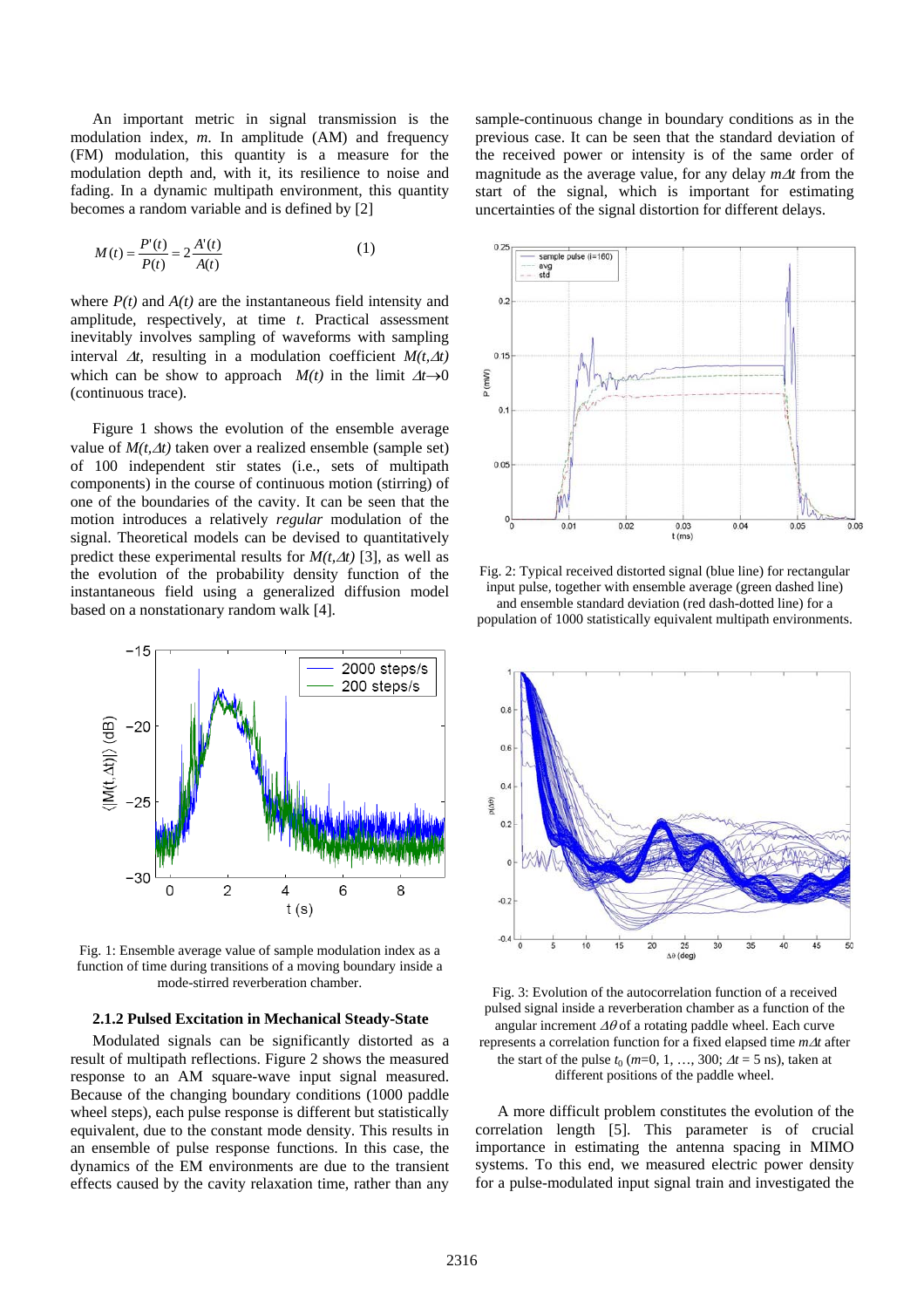An important metric in signal transmission is the modulation index, *m*. In amplitude (AM) and frequency (FM) modulation, this quantity is a measure for the modulation depth and, with it, its resilience to noise and fading. In a dynamic multipath environment, this quantity becomes a random variable and is defined by [2]

$$
M(t) = \frac{P'(t)}{P(t)} = 2\frac{A'(t)}{A(t)}
$$
 (1)

where  $P(t)$  and  $A(t)$  are the instantaneous field intensity and amplitude, respectively, at time *t*. Practical assessment inevitably involves sampling of waveforms with sampling interval  $\Delta t$ , resulting in a modulation coefficient  $M(t, \Delta t)$ which can be show to approach  $M(t)$  in the limit  $\Delta t \rightarrow 0$ (continuous trace).

Figure 1 shows the evolution of the ensemble average value of *M(t,*∆*t)* taken over a realized ensemble (sample set) of 100 independent stir states (i.e., sets of multipath components) in the course of continuous motion (stirring) of one of the boundaries of the cavity. It can be seen that the motion introduces a relatively *regular* modulation of the signal. Theoretical models can be devised to quantitatively predict these experimental results for  $M(t, \Delta t)$  [3], as well as the evolution of the probability density function of the instantaneous field using a generalized diffusion model based on a nonstationary random walk [4].



Fig. 1: Ensemble average value of sample modulation index as a function of time during transitions of a moving boundary inside a mode-stirred reverberation chamber.

#### **2.1.2 Pulsed Excitation in Mechanical Steady-State**

Modulated signals can be significantly distorted as a result of multipath reflections. Figure 2 shows the measured response to an AM square-wave input signal measured. Because of the changing boundary conditions (1000 paddle wheel steps), each pulse response is different but statistically equivalent, due to the constant mode density. This results in an ensemble of pulse response functions. In this case, the dynamics of the EM environments are due to the transient effects caused by the cavity relaxation time, rather than any sample-continuous change in boundary conditions as in the previous case. It can be seen that the standard deviation of the received power or intensity is of the same order of magnitude as the average value, for any delay *m*∆*t* from the start of the signal, which is important for estimating uncertainties of the signal distortion for different delays.



Fig. 2: Typical received distorted signal (blue line) for rectangular input pulse, together with ensemble average (green dashed line) and ensemble standard deviation (red dash-dotted line) for a population of 1000 statistically equivalent multipath environments.



Fig. 3: Evolution of the autocorrelation function of a received pulsed signal inside a reverberation chamber as a function of the angular increment ∆θ of a rotating paddle wheel. Each curve represents a correlation function for a fixed elapsed time *m*∆*t* after the start of the pulse  $t_0$  ( $m=0, 1, ..., 300$ ;  $\Delta t = 5$  ns), taken at different positions of the paddle wheel.

A more difficult problem constitutes the evolution of the correlation length [5]. This parameter is of crucial importance in estimating the antenna spacing in MIMO systems. To this end, we measured electric power density for a pulse-modulated input signal train and investigated the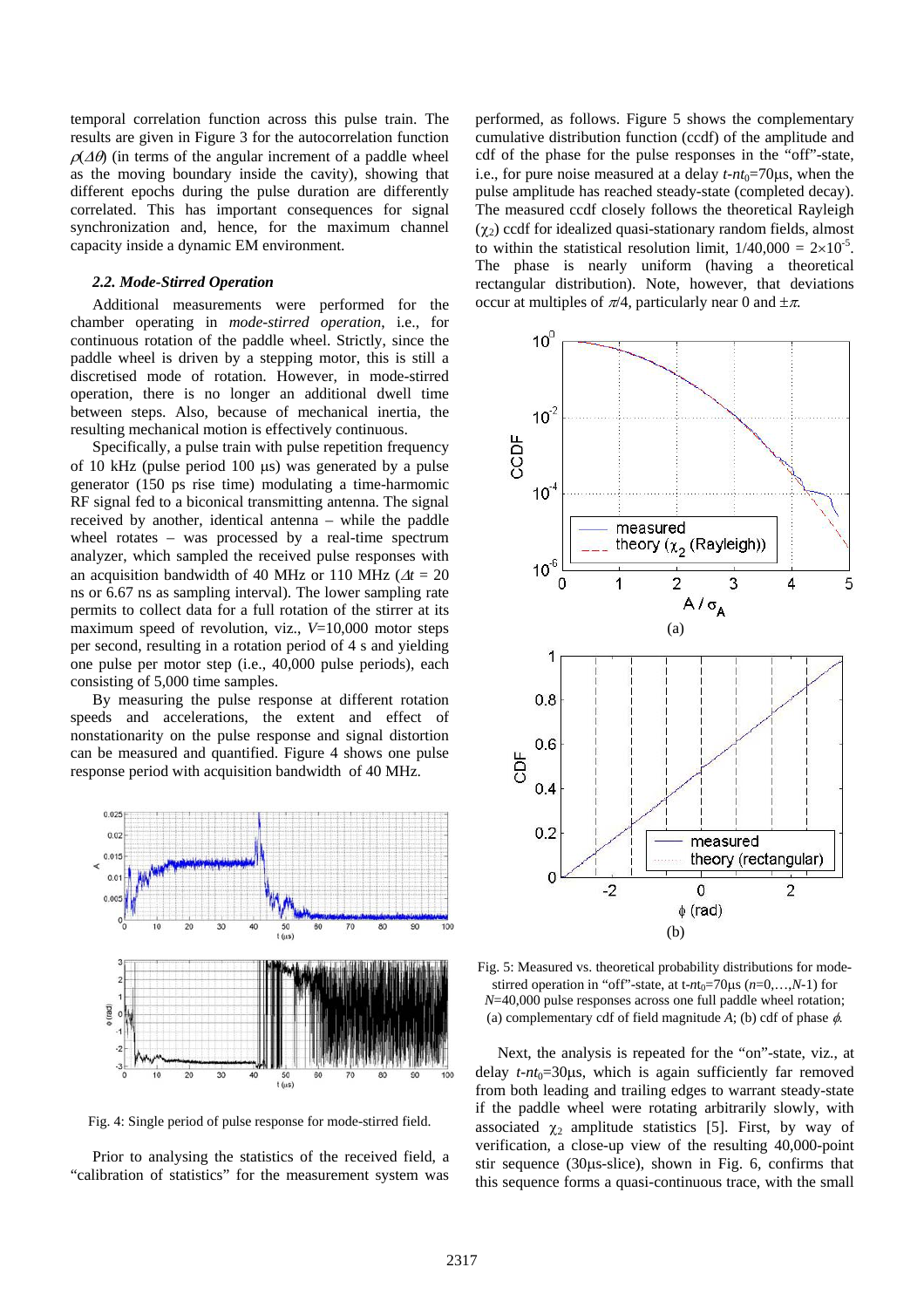temporal correlation function across this pulse train. The results are given in Figure 3 for the autocorrelation function  $\rho(\Delta\theta)$  (in terms of the angular increment of a paddle wheel as the moving boundary inside the cavity), showing that different epochs during the pulse duration are differently correlated. This has important consequences for signal synchronization and, hence, for the maximum channel capacity inside a dynamic EM environment.

## *2.2. Mode-Stirred Operation*

Additional measurements were performed for the chamber operating in *mode-stirred operation*, i.e., for continuous rotation of the paddle wheel. Strictly, since the paddle wheel is driven by a stepping motor, this is still a discretised mode of rotation. However, in mode-stirred operation, there is no longer an additional dwell time between steps. Also, because of mechanical inertia, the resulting mechanical motion is effectively continuous.

Specifically, a pulse train with pulse repetition frequency of 10 kHz (pulse period 100 µs) was generated by a pulse generator (150 ps rise time) modulating a time-harmomic RF signal fed to a biconical transmitting antenna. The signal received by another, identical antenna – while the paddle wheel rotates – was processed by a real-time spectrum analyzer, which sampled the received pulse responses with an acquisition bandwidth of 40 MHz or 110 MHz ( $\Delta t = 20$ ns or 6.67 ns as sampling interval). The lower sampling rate permits to collect data for a full rotation of the stirrer at its maximum speed of revolution, viz., *V*=10,000 motor steps per second, resulting in a rotation period of 4 s and yielding one pulse per motor step (i.e., 40,000 pulse periods), each consisting of 5,000 time samples.

By measuring the pulse response at different rotation speeds and accelerations, the extent and effect of nonstationarity on the pulse response and signal distortion can be measured and quantified. Figure 4 shows one pulse response period with acquisition bandwidth of 40 MHz.



Fig. 4: Single period of pulse response for mode-stirred field.

Prior to analysing the statistics of the received field, a "calibration of statistics" for the measurement system was performed, as follows. Figure 5 shows the complementary cumulative distribution function (ccdf) of the amplitude and cdf of the phase for the pulse responses in the "off"-state, i.e., for pure noise measured at a delay  $t$ - $nt_0$ =70 $\mu$ s, when the pulse amplitude has reached steady-state (completed decay). The measured ccdf closely follows the theoretical Rayleigh  $(χ<sub>2</sub>)$  ccdf for idealized quasi-stationary random fields, almost to within the statistical resolution limit,  $1/40,000 = 2 \times 10^{-5}$ . The phase is nearly uniform (having a theoretical rectangular distribution). Note, however, that deviations occur at multiples of  $\pi/4$ , particularly near 0 and  $\pm \pi$ .



Fig. 5: Measured vs. theoretical probability distributions for modestirred operation in "off"-state, at t- $nt_0$ =70 $\mu$ s ( $n=0,...,N-1$ ) for *N*=40,000 pulse responses across one full paddle wheel rotation; (a) complementary cdf of field magnitude  $A$ ; (b) cdf of phase  $\phi$ .

Next, the analysis is repeated for the "on"-state, viz., at delay  $t$ - $nt_0$ =30 $\mu$ s, which is again sufficiently far removed from both leading and trailing edges to warrant steady-state if the paddle wheel were rotating arbitrarily slowly, with associated  $\chi_2$  amplitude statistics [5]. First, by way of verification, a close-up view of the resulting 40,000-point stir sequence (30µs-slice), shown in Fig. 6, confirms that this sequence forms a quasi-continuous trace, with the small